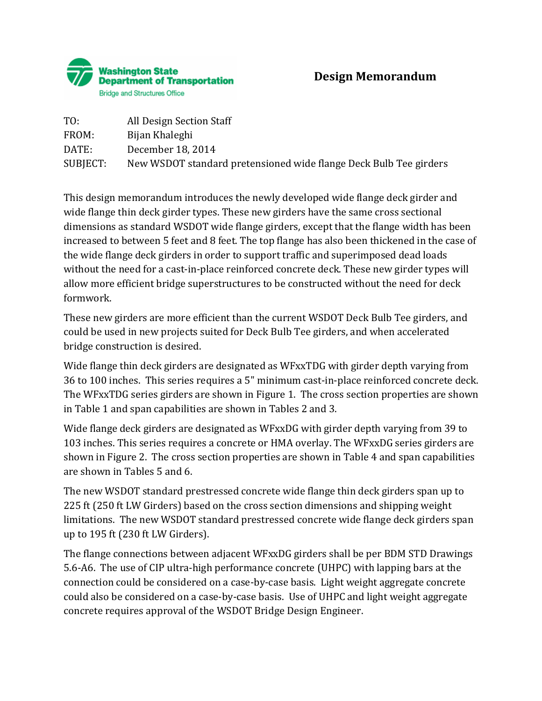

| TO:      | All Design Section Staff                                          |
|----------|-------------------------------------------------------------------|
| FROM:    | Bijan Khaleghi                                                    |
| DATE:    | December 18, 2014                                                 |
| SUBJECT: | New WSDOT standard pretensioned wide flange Deck Bulb Tee girders |

This design memorandum introduces the newly developed wide flange deck girder and wide flange thin deck girder types. These new girders have the same cross sectional dimensions as standard WSDOT wide flange girders, except that the flange width has been increased to between 5 feet and 8 feet. The top flange has also been thickened in the case of the wide flange deck girders in order to support traffic and superimposed dead loads without the need for a cast-in-place reinforced concrete deck. These new girder types will allow more efficient bridge superstructures to be constructed without the need for deck formwork.

These new girders are more efficient than the current WSDOT Deck Bulb Tee girders, and could be used in new projects suited for Deck Bulb Tee girders, and when accelerated bridge construction is desired.

Wide flange thin deck girders are designated as WFxxTDG with girder depth varying from 36 to 100 inches. This series requires a 5" minimum cast-in-place reinforced concrete deck. The WFxxTDG series girders are shown in Figure 1. The cross section properties are shown in Table 1 and span capabilities are shown in Tables 2 and 3.

Wide flange deck girders are designated as WFxxDG with girder depth varying from 39 to 103 inches. This series requires a concrete or HMA overlay. The WFxxDG series girders are shown in Figure 2. The cross section properties are shown in Table 4 and span capabilities are shown in Tables 5 and 6.

The new WSDOT standard prestressed concrete wide flange thin deck girders span up to 225 ft (250 ft LW Girders) based on the cross section dimensions and shipping weight limitations. The new WSDOT standard prestressed concrete wide flange deck girders span up to 195 ft (230 ft LW Girders).

The flange connections between adjacent WFxxDG girders shall be per BDM STD Drawings 5.6-A6. The use of CIP ultra-high performance concrete (UHPC) with lapping bars at the connection could be considered on a case-by-case basis. Light weight aggregate concrete could also be considered on a case-by-case basis. Use of UHPC and light weight aggregate concrete requires approval of the WSDOT Bridge Design Engineer.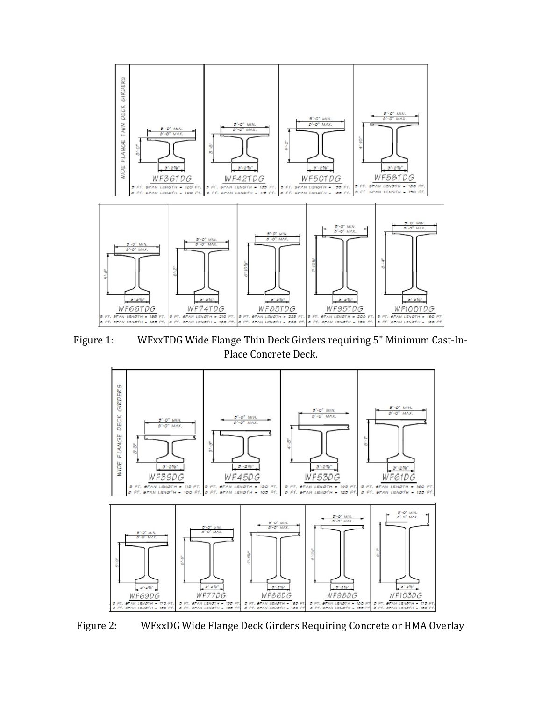

Figure 1: WFxxTDG Wide Flange Thin Deck Girders requiring 5" Minimum Cast-In-Place Concrete Deck.



Figure 2: WFxxDG Wide Flange Deck Girders Requiring Concrete or HMA Overlay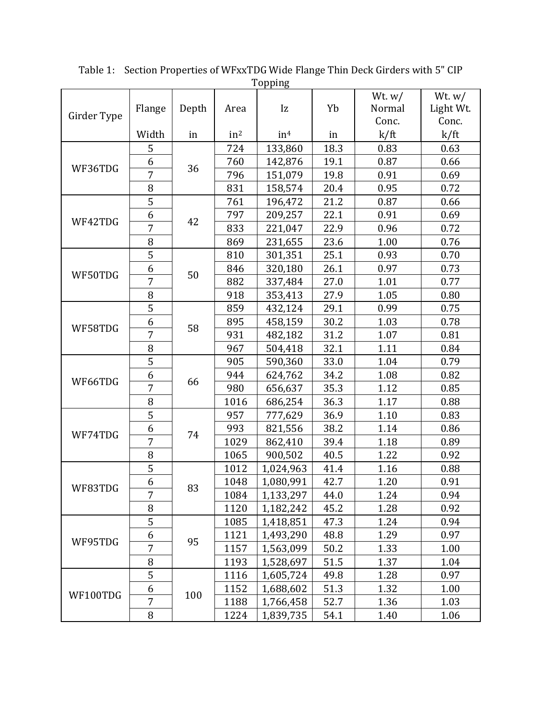|             |                |       |                 |                 |      | Wt. $w/$ | Wt. $w/$  |
|-------------|----------------|-------|-----------------|-----------------|------|----------|-----------|
| Girder Type | Flange         | Depth | Area            | Iz              | Yb   | Normal   | Light Wt. |
|             |                |       |                 |                 |      | Conc.    | Conc.     |
|             | Width          | in    | in <sup>2</sup> | in <sup>4</sup> | in   | k/ft     | k/ft      |
|             | 5              |       | 724             | 133,860         | 18.3 | 0.83     | 0.63      |
| WF36TDG     | 6              | 36    | 760             | 142,876         | 19.1 | 0.87     | 0.66      |
|             | $\overline{7}$ |       | 796             | 151,079         | 19.8 | 0.91     | 0.69      |
|             | $\, 8$         |       | 831             | 158,574         | 20.4 | 0.95     | 0.72      |
|             | $\overline{5}$ |       | 761             | 196,472         | 21.2 | 0.87     | 0.66      |
| WF42TDG     | 6              | 42    | 797             | 209,257         | 22.1 | 0.91     | 0.69      |
|             | $\overline{7}$ |       | 833             | 221,047         | 22.9 | 0.96     | 0.72      |
|             | 8              |       | 869             | 231,655         | 23.6 | 1.00     | 0.76      |
|             | 5              |       | 810             | 301,351         | 25.1 | 0.93     | 0.70      |
|             | 6              |       | 846             | 320,180         | 26.1 | 0.97     | 0.73      |
| WF50TDG     | $\overline{7}$ | 50    | 882             | 337,484         | 27.0 | 1.01     | 0.77      |
|             | $\, 8$         |       | 918             | 353,413         | 27.9 | 1.05     | 0.80      |
|             | $\overline{5}$ |       | 859             | 432,124         | 29.1 | 0.99     | 0.75      |
|             | 6              |       | 895             | 458,159         | 30.2 | 1.03     | 0.78      |
| WF58TDG     | $\overline{7}$ | 58    | 931             | 482,182         | 31.2 | 1.07     | 0.81      |
|             | 8              |       | 967             | 504,418         | 32.1 | 1.11     | 0.84      |
|             | 5              |       | 905             | 590,360         | 33.0 | 1.04     | 0.79      |
|             | 6              | 66    | 944             | 624,762         | 34.2 | 1.08     | 0.82      |
| WF66TDG     | $\overline{7}$ |       | 980             | 656,637         | 35.3 | 1.12     | 0.85      |
|             | $\, 8$         |       | 1016            | 686,254         | 36.3 | 1.17     | 0.88      |
|             | 5              |       | 957             | 777,629         | 36.9 | 1.10     | 0.83      |
|             | 6              |       | 993             | 821,556         | 38.2 | 1.14     | 0.86      |
| WF74TDG     | $\overline{7}$ | 74    | 1029            | 862,410         | 39.4 | 1.18     | 0.89      |
|             | 8              |       | 1065            | 900,502         | 40.5 | 1.22     | 0.92      |
|             | $\overline{5}$ |       | 1012            | 1,024,963       | 41.4 | 1.16     | 0.88      |
|             | 6              |       | 1048            | 1,080,991       | 42.7 | 1.20     | 0.91      |
| WF83TDG     | 7              | 83    | 1084            | 1,133,297       | 44.0 | 1.24     | 0.94      |
|             | 8              |       | 1120            | 1,182,242       | 45.2 | 1.28     | 0.92      |
|             | 5              |       | 1085            | 1,418,851       | 47.3 | 1.24     | 0.94      |
|             | 6              |       | 1121            | 1,493,290       | 48.8 | 1.29     | 0.97      |
| WF95TDG     | 7              | 95    | 1157            | 1,563,099       | 50.2 | 1.33     | 1.00      |
|             | 8              |       | 1193            | 1,528,697       | 51.5 | 1.37     | 1.04      |
|             | 5              |       | 1116            | 1,605,724       | 49.8 | 1.28     | 0.97      |
|             | 6              |       | 1152            | 1,688,602       | 51.3 | 1.32     | 1.00      |
| WF100TDG    | $\overline{7}$ | 100   |                 |                 |      |          |           |
|             |                |       | 1188            | 1,766,458       | 52.7 | 1.36     | 1.03      |
|             | 8              |       | 1224            | 1,839,735       | 54.1 | 1.40     | 1.06      |

Table 1: Section Properties of WFxxTDG Wide Flange Thin Deck Girders with 5" CIP <u>Topping</u>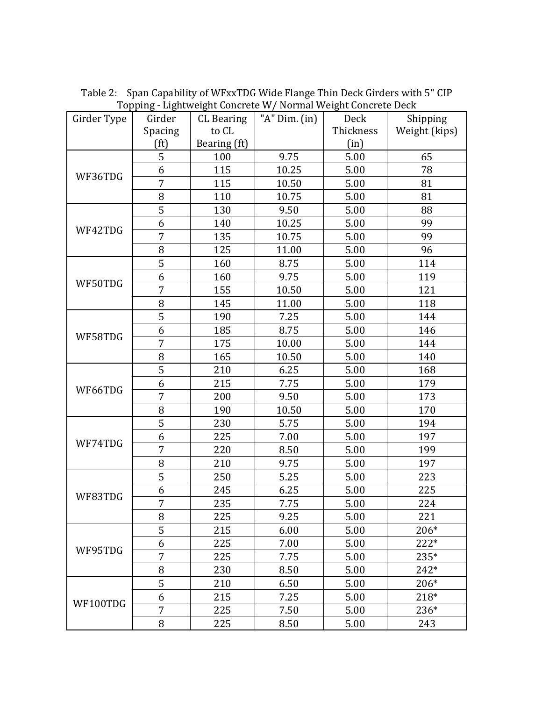| Girder Type | Girder            | <b>CL</b> Bearing | Topping and the concrete W/ Normal Weight concrete been<br>"A" Dim. (in) | Deck      | Shipping      |
|-------------|-------------------|-------------------|--------------------------------------------------------------------------|-----------|---------------|
|             | Spacing           | to CL             |                                                                          | Thickness | Weight (kips) |
|             | (f <sup>t</sup> ) | Bearing (ft)      |                                                                          | (in)      |               |
|             | 5                 | 100               | 9.75                                                                     | 5.00      | 65            |
| WF36TDG     | 6                 | 115               | 10.25                                                                    | 5.00      | 78            |
|             | $\overline{7}$    | 115               | 10.50                                                                    | 5.00      | 81            |
|             | 8                 | 110               | 10.75                                                                    | 5.00      | 81            |
|             | 5                 | 130               | 9.50                                                                     | 5.00      | 88            |
|             | 6                 | 140               | 10.25                                                                    | 5.00      | 99            |
| WF42TDG     | 7                 | 135               | 10.75                                                                    | 5.00      | 99            |
|             | 8                 | 125               | 11.00                                                                    | 5.00      | 96            |
|             | 5                 | 160               | 8.75                                                                     | 5.00      | 114           |
|             | 6                 | 160               | 9.75                                                                     | 5.00      | 119           |
| WF50TDG     | 7                 | 155               | 10.50                                                                    | 5.00      | 121           |
|             | 8                 | 145               | 11.00                                                                    | 5.00      | 118           |
|             | 5                 | 190               | 7.25                                                                     | 5.00      | 144           |
|             | 6                 | 185               | 8.75                                                                     | 5.00      | 146           |
| WF58TDG     | 7                 | 175               | 10.00                                                                    | 5.00      | 144           |
|             | 8                 | 165               | 10.50                                                                    | 5.00      | 140           |
|             | 5                 | 210               | 6.25                                                                     | 5.00      | 168           |
|             | 6                 | 215               | 7.75                                                                     | 5.00      | 179           |
| WF66TDG     | 7                 | 200               | 9.50                                                                     | 5.00      | 173           |
|             | 8                 | 190               | 10.50                                                                    | 5.00      | 170           |
|             | 5                 | 230               | 5.75                                                                     | 5.00      | 194           |
|             | 6                 | 225               | 7.00                                                                     | 5.00      | 197           |
| WF74TDG     | 7                 | 220               | 8.50                                                                     | 5.00      | 199           |
|             | 8                 | 210               | 9.75                                                                     | 5.00      | 197           |
|             | 5                 | 250               | 5.25                                                                     | 5.00      | 223           |
|             | 6                 | 245               | 6.25                                                                     | 5.00      | 225           |
| WF83TDG     | $\overline{7}$    | 235               | 7.75                                                                     | 5.00      | 224           |
|             | 8                 | 225               | 9.25                                                                     | 5.00      | 221           |
|             | 5                 | 215               | 6.00                                                                     | 5.00      | 206*          |
|             | 6                 | 225               | 7.00                                                                     | 5.00      | 222*          |
| WF95TDG     | 7                 | 225               | 7.75                                                                     | 5.00      | 235*          |
|             | 8                 | 230               | 8.50                                                                     | 5.00      | $242*$        |
|             | 5                 | 210               | 6.50                                                                     | 5.00      | 206*          |
|             | 6                 | 215               | 7.25                                                                     | 5.00      | 218*          |
| WF100TDG    | $\overline{7}$    | 225               | 7.50                                                                     | 5.00      | 236*          |
|             | 8                 | 225               | 8.50                                                                     | 5.00      | 243           |

Table 2: Span Capability of WFxxTDG Wide Flange Thin Deck Girders with 5" CIP Topping - Lightweight Concrete W/ Normal Weight Concrete Deck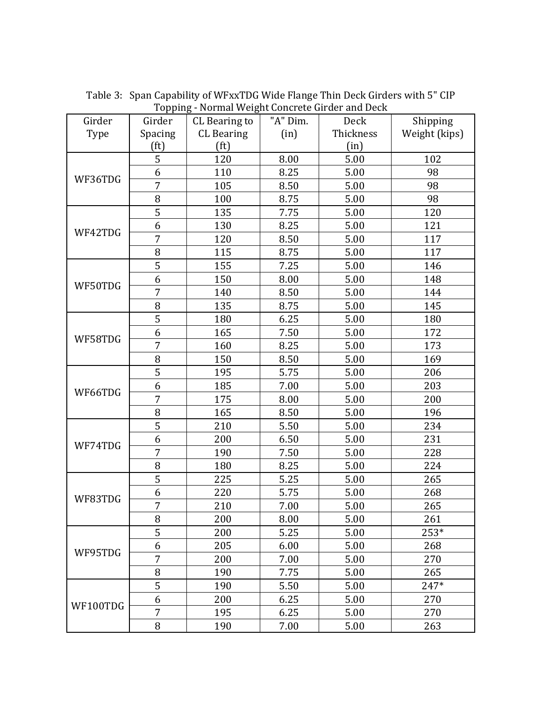| Girder   | $10^{p}$<br>Girder | $\cdots$<br>CL Bearing to | "A" Dim. | Deck      | Shipping      |
|----------|--------------------|---------------------------|----------|-----------|---------------|
| Type     | Spacing            | <b>CL</b> Bearing         | (in)     | Thickness | Weight (kips) |
|          | (f <sup>t</sup> )  | (f <sup>t</sup> )         |          | (in)      |               |
|          | 5                  | 120                       | 8.00     | 5.00      | 102           |
|          | 6                  | 110                       | 8.25     | 5.00      | 98            |
| WF36TDG  | $\overline{7}$     | 105                       | 8.50     | 5.00      | 98            |
|          | 8                  | 100                       | 8.75     | 5.00      | 98            |
|          | 5                  | 135                       | 7.75     | 5.00      | 120           |
| WF42TDG  | 6                  | 130                       | 8.25     | 5.00      | 121           |
|          | $\overline{7}$     | 120                       | 8.50     | 5.00      | 117           |
|          | 8                  | 115                       | 8.75     | 5.00      | 117           |
|          | 5                  | 155                       | 7.25     | 5.00      | 146           |
|          | 6                  | 150                       | 8.00     | 5.00      | 148           |
| WF50TDG  | $\overline{7}$     | 140                       | 8.50     | 5.00      | 144           |
|          | 8                  | 135                       | 8.75     | 5.00      | 145           |
|          | 5                  | 180                       | 6.25     | 5.00      | 180           |
|          | 6                  | 165                       | 7.50     | 5.00      | 172           |
| WF58TDG  | 7                  | 160                       | 8.25     | 5.00      | 173           |
|          | 8                  | 150                       | 8.50     | 5.00      | 169           |
|          | $\overline{5}$     | 195                       | 5.75     | 5.00      | 206           |
|          | 6                  | 185                       | 7.00     | 5.00      | 203           |
| WF66TDG  | 7                  | 175                       | 8.00     | 5.00      | 200           |
|          | 8                  | 165                       | 8.50     | 5.00      | 196           |
|          | 5                  | 210                       | 5.50     | 5.00      | 234           |
|          | 6                  | 200                       | 6.50     | 5.00      | 231           |
| WF74TDG  | 7                  | 190                       | 7.50     | 5.00      | 228           |
|          | 8                  | 180                       | 8.25     | 5.00      | 224           |
|          | 5                  | 225                       | 5.25     | 5.00      | 265           |
|          | 6                  | 220                       | 5.75     | 5.00      | 268           |
| WF83TDG  | $\overline{7}$     | 210                       | 7.00     | 5.00      | 265           |
|          | 8                  | 200                       | 8.00     | 5.00      | 261           |
|          | 5                  | 200                       | 5.25     | 5.00      | 253*          |
|          | 6                  | 205                       | 6.00     | 5.00      | 268           |
| WF95TDG  | 7                  | 200                       | 7.00     | 5.00      | 270           |
|          | 8                  | 190                       | 7.75     | 5.00      | 265           |
|          | 5                  | 190                       | 5.50     | 5.00      | 247*          |
|          | 6                  | 200                       | 6.25     | 5.00      | 270           |
| WF100TDG | 7                  | 195                       | 6.25     | 5.00      | 270           |
|          | 8                  | 190                       | 7.00     | 5.00      | 263           |

Table 3: Span Capability of WFxxTDG Wide Flange Thin Deck Girders with 5" CIP Topping - Normal Weight Concrete Girder and Deck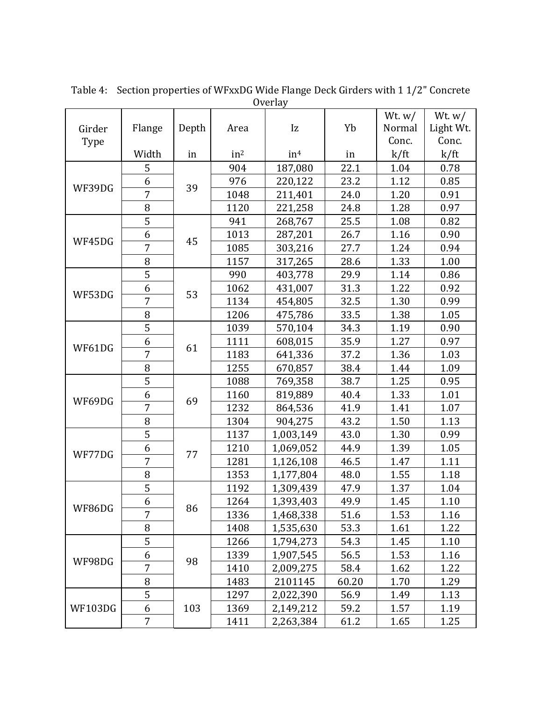| <b>Overlay</b> |                |       |                 |                 |       |                    |                       |
|----------------|----------------|-------|-----------------|-----------------|-------|--------------------|-----------------------|
| Girder         | Flange         | Depth | Area            | Iz              | Yb    | Wt. $w/$<br>Normal | Wt. $w/$<br>Light Wt. |
| Type           |                |       |                 |                 |       | Conc.              | Conc.                 |
|                | Width          | in    | in <sup>2</sup> | in <sup>4</sup> | in    | k/ft               | k/ft                  |
|                | 5              |       | 904             | 187,080         | 22.1  | 1.04               | 0.78                  |
|                | 6              |       | 976             | 220,122         | 23.2  | 1.12               | 0.85                  |
| WF39DG         | 7              | 39    | 1048            | 211,401         | 24.0  | 1.20               | 0.91                  |
|                | 8              |       | 1120            | 221,258         | 24.8  | 1.28               | 0.97                  |
|                | $\overline{5}$ |       | 941             | 268,767         | 25.5  | 1.08               | 0.82                  |
|                | 6              | 45    | 1013            | 287,201         | 26.7  | 1.16               | 0.90                  |
| WF45DG         | $\overline{7}$ |       | 1085            | 303,216         | 27.7  | 1.24               | 0.94                  |
|                | 8              |       | 1157            | 317,265         | 28.6  | 1.33               | 1.00                  |
|                | $\overline{5}$ |       | 990             | 403,778         | 29.9  | 1.14               | 0.86                  |
| WF53DG         | 6              | 53    | 1062            | 431,007         | 31.3  | 1.22               | 0.92                  |
|                | $\overline{7}$ |       | 1134            | 454,805         | 32.5  | 1.30               | 0.99                  |
|                | 8              |       | 1206            | 475,786         | 33.5  | 1.38               | 1.05                  |
|                | $\overline{5}$ | 61    | 1039            | 570,104         | 34.3  | 1.19               | 0.90                  |
| WF61DG         | 6              |       | 1111            | 608,015         | 35.9  | 1.27               | 0.97                  |
|                | $\overline{7}$ |       | 1183            | 641,336         | 37.2  | 1.36               | 1.03                  |
|                | 8              |       | 1255            | 670,857         | 38.4  | 1.44               | 1.09                  |
|                | 5              | 69    | 1088            | 769,358         | 38.7  | 1.25               | 0.95                  |
| WF69DG         | 6              |       | 1160            | 819,889         | 40.4  | 1.33               | 1.01                  |
|                | $\overline{7}$ |       | 1232            | 864,536         | 41.9  | 1.41               | 1.07                  |
|                | 8              |       | 1304            | 904,275         | 43.2  | 1.50               | 1.13                  |
|                | 5              |       | 1137            | 1,003,149       | 43.0  | 1.30               | 0.99                  |
| WF77DG         | 6              | 77    | 1210            | 1,069,052       | 44.9  | 1.39               | 1.05                  |
|                | $\overline{7}$ |       | 1281            | 1,126,108       | 46.5  | 1.47               | 1.11                  |
|                | 8              |       | 1353            | 1,177,804       | 48.0  | 1.55               | 1.18                  |
|                | 5              |       | 1192            | 1,309,439       | 47.9  | 1.37               | 1.04                  |
| WF86DG         | 6              | 86    | 1264            | 1,393,403       | 49.9  | 1.45               | 1.10                  |
|                | 7              |       | 1336            | 1,468,338       | 51.6  | 1.53               | 1.16                  |
|                | 8              |       | 1408            | 1,535,630       | 53.3  | 1.61               | 1.22                  |
|                | 5              |       | 1266            | 1,794,273       | 54.3  | 1.45               | 1.10                  |
| WF98DG         | 6              | 98    | 1339            | 1,907,545       | 56.5  | 1.53               | 1.16                  |
|                | $\overline{7}$ |       | 1410            | 2,009,275       | 58.4  | 1.62               | 1.22                  |
|                | 8              |       | 1483            | 2101145         | 60.20 | 1.70               | 1.29                  |
|                | 5              |       | 1297            | 2,022,390       | 56.9  | 1.49               | 1.13                  |
| <b>WF103DG</b> | 6              | 103   | 1369            | 2,149,212       | 59.2  | 1.57               | 1.19                  |
|                | 7              |       | 1411            | 2,263,384       | 61.2  | 1.65               | 1.25                  |

Table 4: Section properties of WFxxDG Wide Flange Deck Girders with 1 1/2" Concrete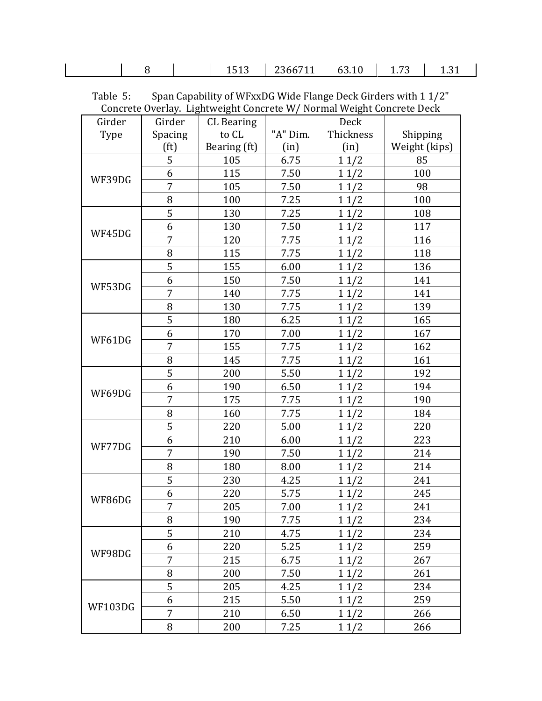| - | $\sim$<br>∸<br>ᆂᇦᆇᇦ | <b>7366,</b><br>$-0001 + 1$ | ,,,,,<br>----- | $ -$<br>--<br>$\sim$ | ______ |
|---|---------------------|-----------------------------|----------------|----------------------|--------|
|   |                     |                             |                |                      |        |

| Table 5: |  | Span Capability of WFxxDG Wide Flange Deck Girders with 1 1/2"       |  |
|----------|--|----------------------------------------------------------------------|--|
|          |  | Concrete Overlay. Lightweight Concrete W/Normal Weight Concrete Deck |  |
|          |  |                                                                      |  |

| Girder  | Girder            | <b>CL</b> Bearing |          | Deck      |               |
|---------|-------------------|-------------------|----------|-----------|---------------|
| Type    | Spacing           | to CL             | "A" Dim. | Thickness | Shipping      |
|         | (f <sup>t</sup> ) | Bearing (ft)      | (in)     | (in)      | Weight (kips) |
|         | 5                 | 105               | 6.75     | 11/2      | 85            |
| WF39DG  | 6                 | 115               | 7.50     | 11/2      | 100           |
|         | 7                 | 105               | 7.50     | 11/2      | 98            |
|         | 8                 | 100               | 7.25     | 11/2      | 100           |
|         | 5                 | 130               | 7.25     | 11/2      | 108           |
| WF45DG  | 6                 | 130               | 7.50     | 11/2      | 117           |
|         | 7                 | 120               | 7.75     | 11/2      | 116           |
|         | 8                 | 115               | 7.75     | 11/2      | 118           |
|         | 5                 | 155               | 6.00     | 11/2      | 136           |
|         | 6                 | 150               | 7.50     | 11/2      | 141           |
| WF53DG  | 7                 | 140               | 7.75     | 11/2      | 141           |
|         | 8                 | 130               | 7.75     | 11/2      | 139           |
|         | 5                 | 180               | 6.25     | 11/2      | 165           |
| WF61DG  | 6                 | 170               | 7.00     | 11/2      | 167           |
|         | 7                 | 155               | 7.75     | 11/2      | 162           |
|         | 8                 | 145               | 7.75     | 11/2      | 161           |
|         | 5                 | 200               | 5.50     | 11/2      | 192           |
| WF69DG  | 6                 | 190               | 6.50     | 11/2      | 194           |
|         | 7                 | 175               | 7.75     | 11/2      | 190           |
|         | 8                 | 160               | 7.75     | 11/2      | 184           |
|         | 5                 | 220               | 5.00     | 11/2      | 220           |
| WF77DG  | 6                 | 210               | 6.00     | 11/2      | 223           |
|         | 7                 | 190               | 7.50     | 11/2      | 214           |
|         | 8                 | 180               | 8.00     | 11/2      | 214           |
|         | 5                 | 230               | 4.25     | 11/2      | 241           |
| WF86DG  | 6                 | 220               | 5.75     | 11/2      | 245           |
|         | 7                 | 205               | 7.00     | 11/2      | 241           |
|         | 8                 | 190               | 7.75     | 11/2      | 234           |
|         | 5                 | 210               | 4.75     | 11/2      | 234           |
|         | 6                 | 220               | 5.25     | 11/2      | 259           |
| WF98DG  | 7                 | 215               | 6.75     | 11/2      | 267           |
|         | 8                 | 200               | 7.50     | 11/2      | 261           |
|         | 5                 | 205               | 4.25     | 11/2      | 234           |
|         | 6                 | 215               | 5.50     | 11/2      | 259           |
| WF103DG | 7                 | 210               | 6.50     | 11/2      | 266           |
|         | 8                 | 200               | 7.25     | 11/2      | 266           |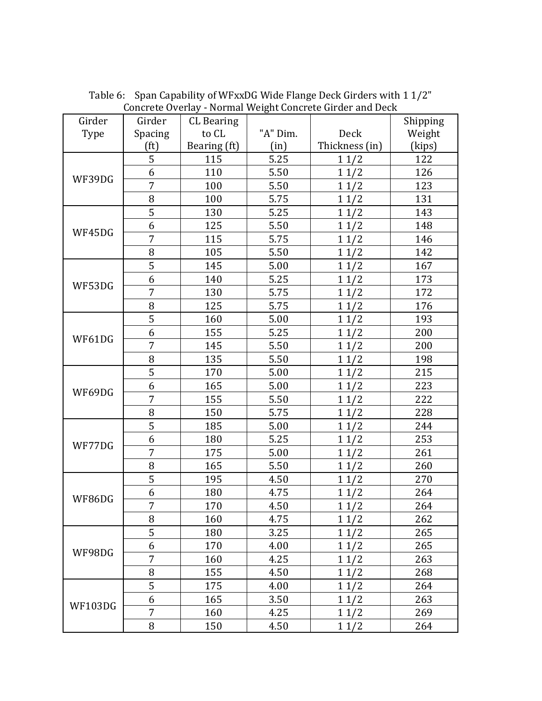| Girder         | Girder            | <b>CL</b> Bearing |          |                | Shipping |
|----------------|-------------------|-------------------|----------|----------------|----------|
| Type           | Spacing           | to CL             | "A" Dim. | Deck           | Weight   |
|                | (f <sup>t</sup> ) | Bearing (ft)      | (in)     | Thickness (in) | (kips)   |
|                | $\overline{5}$    | 115               | 5.25     | 11/2           | 122      |
| WF39DG         | 6                 | 110               | 5.50     | 11/2           | 126      |
|                | 7                 | 100               | 5.50     | 11/2           | 123      |
|                | 8                 | 100               | 5.75     | 11/2           | 131      |
|                | $\overline{5}$    | 130               | 5.25     | 11/2           | 143      |
| WF45DG         | 6                 | 125               | 5.50     | 11/2           | 148      |
|                | $\overline{7}$    | 115               | 5.75     | 11/2           | 146      |
|                | 8                 | 105               | 5.50     | 11/2           | 142      |
|                | 5                 | 145               | 5.00     | 11/2           | 167      |
|                | 6                 | 140               | 5.25     | 11/2           | 173      |
| WF53DG         | $\overline{7}$    | 130               | 5.75     | 11/2           | 172      |
|                | 8                 | 125               | 5.75     | 11/2           | 176      |
|                | 5                 | 160               | 5.00     | 11/2           | 193      |
|                | 6                 | 155               | 5.25     | 11/2           | 200      |
| WF61DG         | 7                 | 145               | 5.50     | 11/2           | 200      |
|                | 8                 | 135               | 5.50     | 11/2           | 198      |
|                | $\overline{5}$    | 170               | 5.00     | 11/2           | 215      |
| WF69DG         | 6                 | 165               | 5.00     | 11/2           | 223      |
|                | $\overline{7}$    | 155               | 5.50     | 11/2           | 222      |
|                | 8                 | 150               | 5.75     | 11/2           | 228      |
|                | $\overline{5}$    | 185               | 5.00     | 11/2           | 244      |
| WF77DG         | 6                 | 180               | 5.25     | 11/2           | 253      |
|                | $\overline{7}$    | 175               | 5.00     | 11/2           | 261      |
|                | 8                 | 165               | 5.50     | 11/2           | 260      |
|                | $\overline{5}$    | 195               | 4.50     | 11/2           | 270      |
| WF86DG         | 6                 | 180               | 4.75     | 11/2           | 264      |
|                | $\overline{7}$    | 170               | 4.50     | 11/2           | 264      |
|                | 8                 | 160               | 4.75     | 11/2           | 262      |
|                | $\overline{5}$    | 180               | 3.25     | 11/2           | 265      |
|                | 6                 | 170               | 4.00     | 11/2           | 265      |
| WF98DG         | 7                 | 160               | 4.25     | 11/2           | 263      |
|                | 8                 | 155               | 4.50     | 11/2           | 268      |
|                | 5                 | 175               | 4.00     | 11/2           | 264      |
| <b>WF103DG</b> | 6                 | 165               | 3.50     | 11/2           | 263      |
|                | 7                 | 160               | 4.25     | 11/2           | 269      |
|                | 8                 | 150               | 4.50     | 11/2           | 264      |

Table 6: Span Capability of WFxxDG Wide Flange Deck Girders with 1 1/2" Concrete Overlay - Normal Weight Concrete Girder and Deck